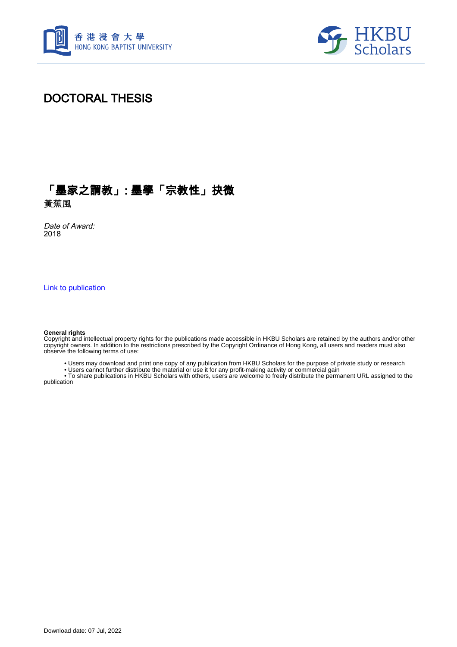



### DOCTORAL THESIS

## 「墨家之謂教」: 墨學「宗教性」抉微

黃蕉風

Date of Award: 2018

[Link to publication](https://scholars.hkbu.edu.hk/en/studentTheses/278b803f-9131-4b7e-9e50-5043cfb2d0df)

#### **General rights**

Copyright and intellectual property rights for the publications made accessible in HKBU Scholars are retained by the authors and/or other copyright owners. In addition to the restrictions prescribed by the Copyright Ordinance of Hong Kong, all users and readers must also observe the following terms of use:

• Users may download and print one copy of any publication from HKBU Scholars for the purpose of private study or research

• Users cannot further distribute the material or use it for any profit-making activity or commercial gain

 • To share publications in HKBU Scholars with others, users are welcome to freely distribute the permanent URL assigned to the publication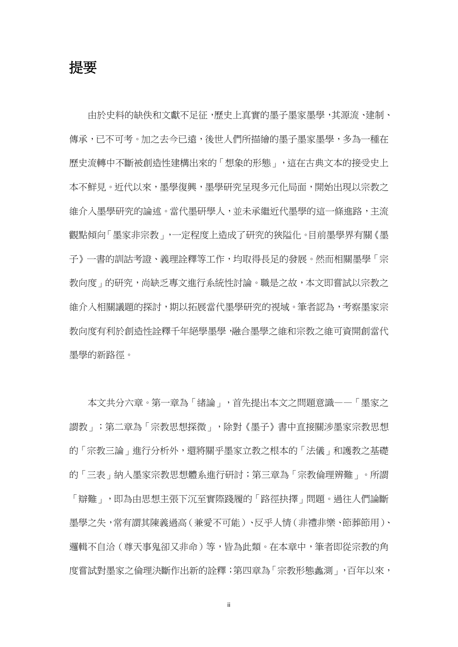提要 しょうしょう しゅうしょう しんしょう しんしょう

由於史料的缺佚和文獻不足征,歷史上真實的墨子墨家墨學,其源流、建制、 傳承,已不可考。加之去今已遠,後世人們所描繪的墨子墨家墨學,多為一種在 歷史流轉中不斷被創造性建構出來的「想象的形態」,這在古典文本的接受史上 本不鮮見。近代以來,墨學復興,墨學研究呈現多元化局面,開始出現以宗教之 維介入墨學研究的論述。當代墨研學人,並未承繼近代墨學的這一條進路,主流 觀點傾向「墨家非宗教」,一定程度上造成了研究的狹隘化。目前墨學界有關《墨 子》一書的訓詁考證、義理詮釋等工作,均取得長足的發展。然而相關墨學「宗 教向度」的研究,尚缺乏專文進行系統性討論。職是之故,本文即嘗試以宗教之 維介入相關議題的探討,期以拓展當代墨學研究的視域。筆者認為,考察墨家宗 教向度有利於創造性詮釋千年絕學墨學,融合墨學之維和宗教之維可資開創當代 墨學的新路徑。

本文共分六章。第一章為「緒論」,首先提出本文之問題意識——「墨家之 謂教」;第二章為「宗教思想探微」,除對《墨子》書中直接關涉墨家宗教思想 的「宗教三論」進行分析外,還將關乎墨家立教之根本的「法儀」和護教之基礎 的「三表」納入墨家宗教思想體系進行研討;第三章為「宗教倫理辨難」。所謂 「辯難」,即為由思想主張下沉至實際踐履的「路徑抉擇」問題。過往人們論斷 墨學之失,常有謂其陳義過高(兼愛不可能)、反乎人情(非禮非樂、節葬節用)、 邏輯不自洽(尊天事鬼卻又非命)等,皆為此類。在本章中,筆者即從宗教的角 度嘗試對墨家之倫理決斷作出新的詮釋;第四章為「宗教形態蠡測」,百年以來,

ii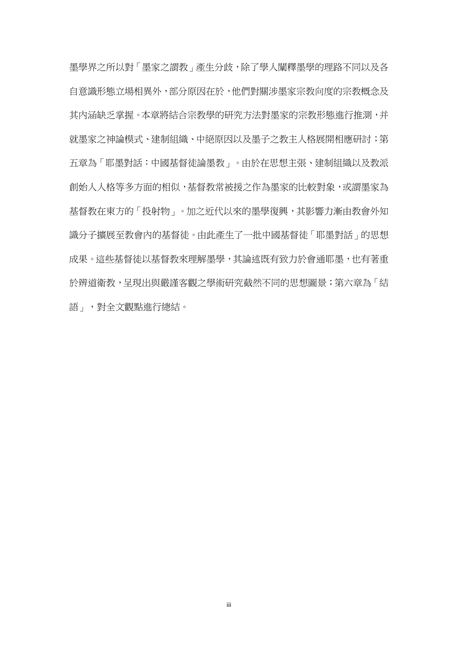墨學界之所以對「墨家之謂教」產生分歧,除了學人闡釋墨學的理路不同以及各 自意識形態立場相異外,部分原因在於,他們對關涉墨家宗教向度的宗教概念及 其內涵缺乏掌握。本章將結合宗教學的研究方法對墨家的宗教形態進行推測,并 就墨家之神論模式、建制組織、中絕原因以及墨子之教主人格展開相應研討;第 五章為「耶墨對話:中國基督徒論墨教」。由於在思想主張、建制組織以及教派 創始人人格等多方面的相似,基督教常被援之作為墨家的比較對象,或謂墨家為 基督教在東方的「投射物」。加之近代以來的墨學復興,其影響力漸由教會外知 識分子擴展至教會內的基督徒。由此產生了一批中國基督徒「耶墨對話」的思想 成果。這些基督徒以基督教來理解墨學,其論述既有致力於會通耶墨,也有著重 於辨道衛教,呈現出與嚴謹客觀之學術研究截然不同的思想圖景;第六章為「結 語」,對全文觀點進行總結。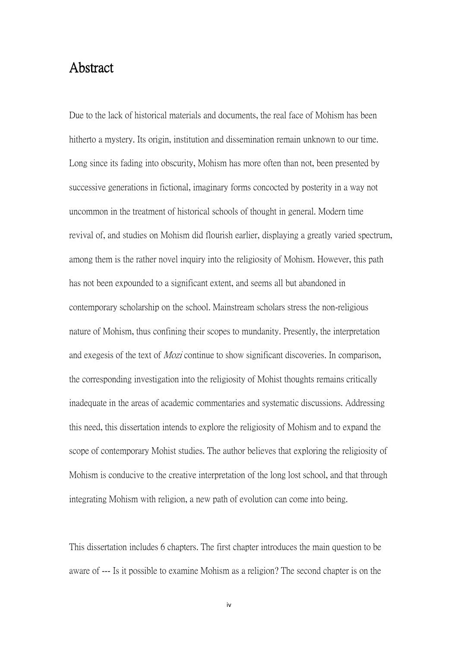### Abstract

Due to the lack of historical materials and documents, the real face of Mohism has been hitherto a mystery. Its origin, institution and dissemination remain unknown to our time. Long since its fading into obscurity, Mohism has more often than not, been presented by successive generations in fictional, imaginary forms concocted by posterity in a way not uncommon in the treatment of historical schools of thought in general. Modern time revival of, and studies on Mohism did flourish earlier, displaying a greatly varied spectrum, among them is the rather novel inquiry into the religiosity of Mohism. However, this path has not been expounded to a significant extent, and seems all but abandoned in contemporary scholarship on the school. Mainstream scholars stress the non-religious nature of Mohism, thus confining their scopes to mundanity. Presently, the interpretation and exegesis of the text of Mozi continue to show significant discoveries. In comparison, the corresponding investigation into the religiosity of Mohist thoughts remains critically inadequate in the areas of academic commentaries and systematic discussions. Addressing this need, this dissertation intends to explore the religiosity of Mohism and to expand the scope of contemporary Mohist studies. The author believes that exploring the religiosity of Mohism is conducive to the creative interpretation of the long lost school, and that through integrating Mohism with religion, a new path of evolution can come into being.

This dissertation includes 6 chapters. The first chapter introduces the main question to be aware of --- Is it possible to examine Mohism as a religion? The second chapter is on the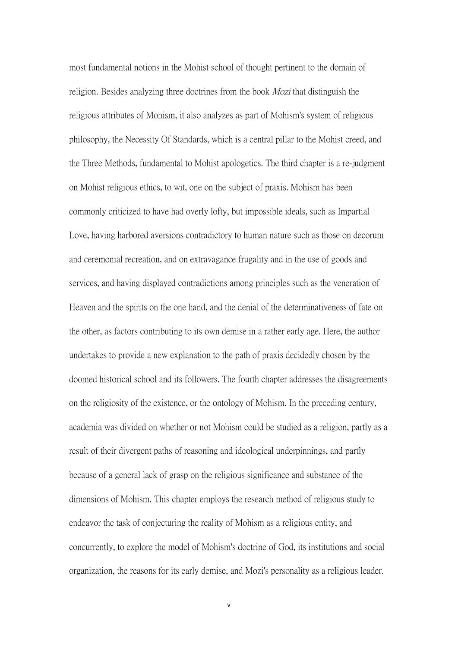most fundamental notions in the Mohist school of thought pertinent to the domain of religion. Besides analyzing three doctrines from the book Mozi that distinguish the religious attributes of Mohism, it also analyzes as part of Mohism's system of religious philosophy, the Necessity Of Standards, which is a central pillar to the Mohist creed, and the Three Methods, fundamental to Mohist apologetics. The third chapter is a re-judgment on Mohist religious ethics, to wit, one on the subject of praxis. Mohism has been commonly criticized to have had overly lofty, but impossible ideals, such as Impartial Love, having harbored aversions contradictory to human nature such as those on decorum and ceremonial recreation, and on extravagance frugality and in the use of goods and services, and having displayed contradictions among principles such as the veneration of Heaven and the spirits on the one hand, and the denial of the determinativeness of fate on the other, as factors contributing to its own demise in a ratherearly age. Here, the author undertakes to provide a new explanation to the path of praxis decidedly chosen by the doomed historical school and its followers. The fourth chapter addresses the disagreements on the religiosity of the existence, or the ontology of Mohism. In the preceding century, academia was divided on whether or not Mohism could be studied as a religion, partly as a result of their divergent paths of reasoning and ideological underpinnings, and partly because of a general lack of grasp on the religious significance and substance of the dimensions of Mohism. This chapter employs the research method of religious study to endeavor the task of conjecturing the reality of Mohism as a religious entity, and concurrently, to explore the model of Mohism's doctrine of God, its institutions and social organization, the reasons for its early demise, and Mozi's personality as a religious leader.

v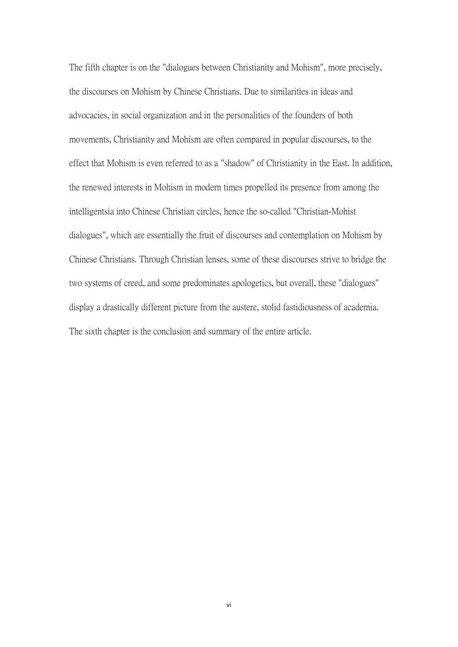The fifth chapter is on the "dialogues between Christianity and Mohism", more precisely, the discourses on Mohism by Chinese Christians. Due to similarities in ideas and advocacies, in social organization and in the personalities of the founders of both movements, Christianity and Mohism are often compared in popular discourses, to the effect that Mohism is even referred to as a "shadow" of Christianity in the East. In addition, the renewed interests in Mohism in modern times propelled its presence from among the intelligentsia into Chinese Christian circles, hence the so-called "Christian-Mohist dialogues", which are essentially the fruit of discourses and contemplation on Mohism by Chinese Christians. Through Christian lenses, some of these discourses strive to bridge the two systems of creed, and some predominates apologetics, but overall, these "dialogues" display a drastically different picture from the austere, stolid fastidiousness of academia. The sixth chapter is the conclusion and summary of the entire article.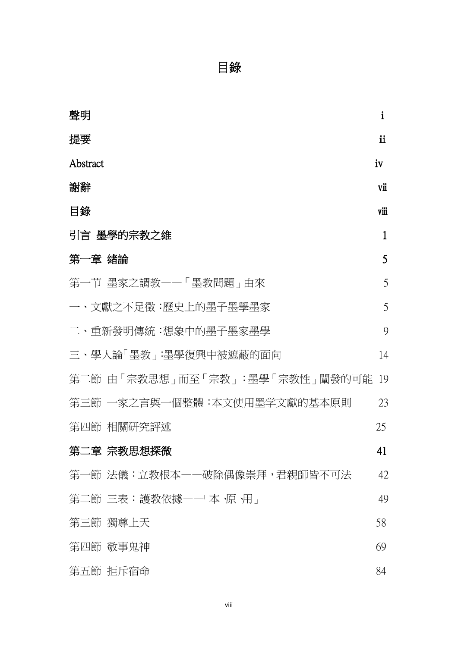# 目錄

| 聲明                                | $\mathbf{i}$  |  |
|-----------------------------------|---------------|--|
| 提要                                | $\mathbf{ii}$ |  |
| Abstract                          | iv            |  |
| 謝辭                                | vii           |  |
| 目錄                                | vії           |  |
| 引言 墨學的宗教之維                        | $\mathbf 1$   |  |
| 第一章 緒論                            | 5             |  |
| 第一节 墨家之謂教一一「墨教問題」由來               | 5             |  |
| 一、文獻之不足徵:歷史上的墨子墨學墨家               | 5             |  |
| 二、重新發明傳統:想象中的墨子墨家墨學               | 9             |  |
| 三、學人論「墨教」:墨學復興中被遮蔽的面向             | 14            |  |
| 第二節 由「宗教思想」而至「宗教」:墨學「宗教性」闡發的可能 19 |               |  |
| 第三節 一家之言與一個整體:本文使用墨学文獻的基本原則       | 23            |  |
| 第四節 相關研究評述                        | 25            |  |
| 第二章 宗教思想探微                        | 41            |  |
| 第一節 法儀:立教根本——破除偶像崇拜,君親師皆不可法       | 42            |  |
| 第二節 三表:護教依據——「本 原 用」              | 49            |  |
| 第三節 獨尊上天                          | 58            |  |
| 第四節 敬事鬼神                          | 69            |  |
| 第五節 拒斥宿命                          | 84            |  |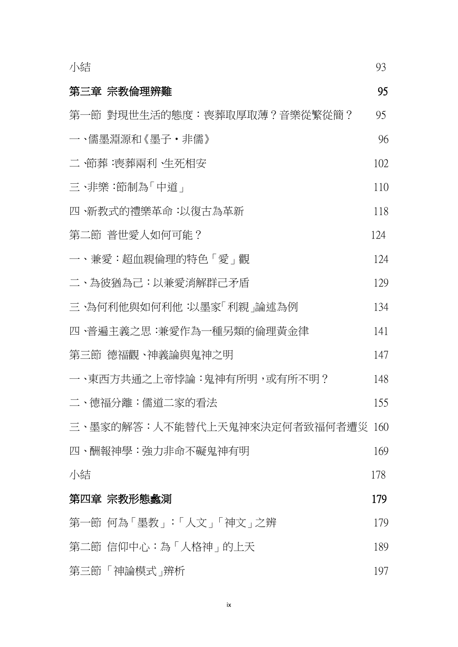| 小結                               | 93  |
|----------------------------------|-----|
| 第三章 宗教倫理辨難                       | 95  |
| 第一節 對現世生活的態度:喪葬取厚取薄?音樂從繁從簡?      | 95  |
| 一、儒墨淵源和《墨子·非儒》                   | 96  |
| 二 ·節葬 :喪葬兩利 ·生死相安                | 102 |
| 三、非樂:節制為「中道」                     | 110 |
| 四、新教式的禮樂革命:以復古為革新                | 118 |
| 第二節 普世愛人如何可能?                    | 124 |
| 一、兼愛:超血親倫理的特色「愛」觀                | 124 |
| 二、為彼猶為己:以兼愛消解群己矛盾                | 129 |
| 三、為何利他與如何利他:以墨家「利親」論述為例          | 134 |
| 四、普遍主義之思:兼愛作為一種另類的倫理黃金律          | 141 |
| 第三節 德福觀、神義論與鬼神之明                 | 147 |
| 一、東西方共通之上帝悖論:鬼神有所明,或有所不明?        | 148 |
| 二、德福分離:儒道二家的看法                   | 155 |
| 三、墨家的解答:人不能替代上天鬼神來決定何者致福何者遭災 160 |     |
| 四、酬報神學:強力非命不礙鬼神有明                | 169 |
| 小結                               | 178 |
| 第四章 宗教形態蠡測                       | 179 |
| 第一節 何為「墨教」:「人文」「神文」之辨            | 179 |
| 第二節 信仰中心:為「人格神」的上天               | 189 |
| 第三節 「神論模式」辨析                     | 197 |

ix